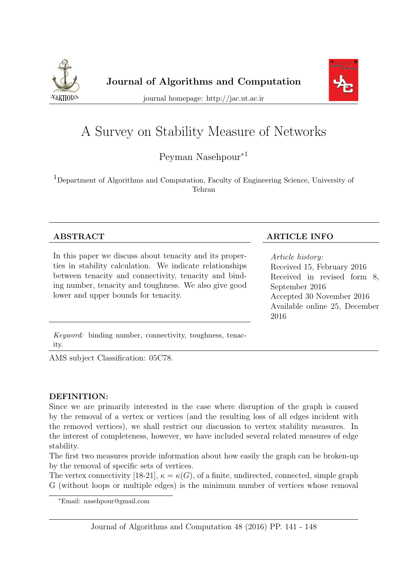



journal homepage: http://jac.ut.ac.ir

# A Survey on Stability Measure of Networks

Peyman Nasehpour<sup>∗</sup><sup>1</sup>

<sup>1</sup>Department of Algorithms and Computation, Faculty of Engineering Science, University of Tehran

In this paper we discuss about tenacity and its properties in stability calculation. We indicate relationships between tenacity and connectivity, tenacity and binding number, tenacity and toughness. We also give good lower and upper bounds for tenacity.

### ABSTRACT ARTICLE INFO

Article history: Received 15, February 2016 Received in revised form 8, September 2016 Accepted 30 November 2016 Available online 25, December 2016

Keyword: binding number, connectivity, toughness, tenacity.

AMS subject Classification: 05C78.

### DEFINITION:

Since we are primarily interested in the case where disruption of the graph is caused by the removal of a vertex or vertices (and the resulting loss of all edges incident with the removed vertices), we shall restrict our discussion to vertex stability measures. In the interest of completeness, however, we have included several related measures of edge stability.

The first two measures provide information about how easily the graph can be broken-up by the removal of specific sets of vertices.

The vertex connectivity [18-21],  $\kappa = \kappa(G)$ , of a finite, undirected, connected, simple graph G (without loops or multiple edges) is the minimum number of vertices whose removal

<sup>∗</sup>Email: nasehpour@gmail.com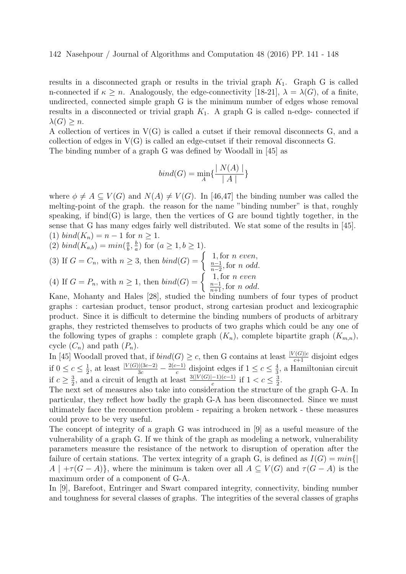#### 142 Nasehpour / Journal of Algorithms and Computation 48 (2016) PP. 141 - 148

results in a disconnected graph or results in the trivial graph  $K_1$ . Graph G is called n-connected if  $\kappa \geq n$ . Analogously, the edge-connectivity [18-21],  $\lambda = \lambda(G)$ , of a finite, undirected, connected simple graph G is the minimum number of edges whose removal results in a disconnected or trivial graph  $K_1$ . A graph G is called n-edge- connected if  $\lambda(G) \geq n$ .

A collection of vertices in V(G) is called a cutset if their removal disconnects G, and a collection of edges in  $V(G)$  is called an edge-cutset if their removal disconnects  $G$ . The binding number of a graph G was defined by Woodall in [45] as

$$
bind(G) = \min_A \{ \frac{\mid N(A) \mid}{\mid A \mid} \}
$$

where  $\phi \neq A \subseteq V(G)$  and  $N(A) \neq V(G)$ . In [46,47] the binding number was called the melting-point of the graph. the reason for the name "binding number" is that, roughly speaking, if bind $(G)$  is large, then the vertices of G are bound tightly together, in the sense that G has many edges fairly well distributed. We stat some of the results in [45]. (1)  $bind(K_n) = n - 1$  for  $n > 1$ .

(2) 
$$
bind(K_{a,b}) = min(\frac{a}{b}, \frac{b}{a})
$$
 for  $(a \ge 1, b \ge 1)$ .

(3) If 
$$
G = C_n
$$
, with  $n \ge 3$ , then  $bind(G) = \begin{cases} 1, \text{for } n \text{ even,} \\ \frac{n-1}{n-2}, \text{for } n \text{ odd.} \end{cases}$   
(4) If  $G = P_n$ , with  $n \ge 1$ , then  $bind(G) = \begin{cases} 1, \text{for } n \text{ even,} \\ \frac{n-1}{n+1}, \text{for } n \text{ odd.} \end{cases}$ 

Kane, Mohanty and Hales [28], studied the binding numbers of four types of product graphs : cartesian product, tensor product, strong cartesian product and lexicographic product. Since it is difficult to determine the binding numbers of products of arbitrary graphs, they restricted themselves to products of two graphs which could be any one of the following types of graphs : complete graph  $(K_n)$ , complete bipartite graph  $(K_{m,n})$ , cycle  $(C_n)$  and path  $(P_n)$ .

In [45] Woodall proved that, if  $bind(G) \geq c$ , then G contains at least  $\frac{|V(G)|c}{c+1}$  disjoint edges if  $0 \leq c \leq \frac{1}{2}$  $\frac{1}{2}$ , at least  $\frac{|V(G)|(3c-2)}{3c} - \frac{2(c-1)}{c}$  $\frac{c}{c}$  disjoint edges if  $1 \leq c \leq \frac{4}{3}$  $\frac{4}{3}$ , a Hamiltonian circuit if  $c \geq \frac{3}{2}$  $\frac{3}{2}$ , and a circuit of length at least  $\frac{3(|V(G)|-1)(c-1)}{c}$  if 1 < c ≤  $\frac{3}{2}$  $\frac{3}{2}$ .

The next set of measures also take into consideration the structure of the graph G-A. In particular, they reflect how badly the graph G-A has been disconnected. Since we must ultimately face the reconnection problem - repairing a broken network - these measures could prove to be very useful.

The concept of integrity of a graph G was introduced in [9] as a useful measure of the vulnerability of a graph G. If we think of the graph as modeling a network, vulnerability parameters measure the resistance of the network to disruption of operation after the failure of certain stations. The vertex integrity of a graph G, is defined as  $I(G) = min\{$  $A \mid +\tau(G - A)$ , where the minimum is taken over all  $A \subseteq V(G)$  and  $\tau(G - A)$  is the maximum order of a component of G-A.

In [9], Barefoot, Entringer and Swart compared integrity, connectivity, binding number and toughness for several classes of graphs. The integrities of the several classes of graphs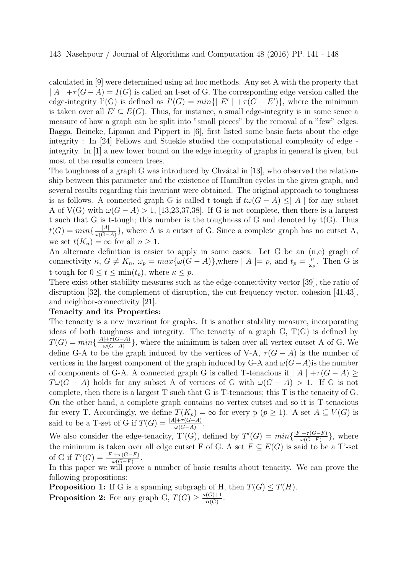#### 143 Nasehpour / Journal of Algorithms and Computation 48 (2016) PP. 141 - 148

calculated in [9] were determined using ad hoc methods. Any set A with the property that  $|A| + \tau(G - A) = I(G)$  is called an I-set of G. The corresponding edge version called the edge-integrity  $\Gamma(G)$  is defined as  $I'(G) = min\{|E'| + \tau(G - E')\}$ , where the minimum is taken over all  $E' \subseteq E(G)$ . Thus, for instance, a small edge-integrity is in some sence a measure of how a graph can be split into "small pieces" by the removal of a "few" edges. Bagga, Beineke, Lipman and Pippert in [6], first listed some basic facts about the edge integrity : In [24] Fellows and Stuekle studied the computational complexity of edge integrity. In [1] a new lower bound on the edge integrity of graphs in general is given, but most of the results concern trees.

The toughness of a graph G was introduced by Chvatal in [13], who observed the relationship between this parameter and the existence of Hamilton cycles in the given graph, and several results regarding this invariant were obtained. The original approach to toughness is as follows. A connected graph G is called t-tough if  $t\omega(G - A) \leq |A|$  for any subset A of V(G) with  $\omega(G - A) > 1$ , [13,23,37,38]. If G is not complete, then there is a largest t such that G is t-tough; this number is the toughness of G and denoted by  $t(G)$ . Thus  $t(G) = min\{\frac{|A|}{\omega(G -)}\}$  $\frac{|A|}{\omega(G-A)}\},\$  where A is a cutset of G. Since a complete graph has no cutset A, we set  $t(K_n) = \infty$  for all  $n \geq 1$ .

An alternate definition is easier to apply in some cases. Let G be an (n,e) gragh of connectivity  $\kappa$ ,  $G \neq K_n$ ,  $\omega_p = max{\omega(G - A)}$ , where  $|A| = p$ , and  $t_p = \frac{p}{\omega}$  $\frac{p}{\omega_p}$ . Then G is t-tough for  $0 \le t \le \min(t_n)$ , where  $\kappa \le p$ .

There exist other stability measures such as the edge-connectivity vector [39], the ratio of disruption [32], the complement of disruption, the cut frequency vector, cohesion [41,43], and neighbor-connectivity [21].

#### Tenacity and its Properties:

The tenacity is a new invariant for graphs. It is another stability measure, incorporating ideas of both toughness and integrity. The tenacity of a graph G, T(G) is defined by  $T(G) = min\{\frac{|A| + \tau(G-A)}{\omega(G-A)}\}$  $\frac{|+\tau(G-A)|}{\omega(G-A)}\}$ , where the minimum is taken over all vertex cutset A of G. We define G-A to be the graph induced by the vertices of V-A,  $\tau(G-A)$  is the number of vertices in the largest component of the graph induced by G-A and  $\omega(G-A)$  is the number of components of G-A. A connected graph G is called T-tenacious if  $|A| + \tau(G - A) \ge$  $T\omega(G-A)$  holds for any subset A of vertices of G with  $\omega(G-A) > 1$ . If G is not complete, then there is a largest T such that G is T-tenacious; this T is the tenacity of G. On the other hand, a complete graph contains no vertex cutset and so it is T-tenacious for every T. Accordingly, we define  $T(K_p) = \infty$  for every p  $(p \ge 1)$ . A set  $A \subseteq V(G)$  is said to be a T-set of G if  $T(G) = \frac{|A| + \tau(G-A)}{\omega(G-A)}$ .

We also consider the edge-tenacity, T'(G), defined by  $T'(G) = min\{\frac{|F|+\tau(G-F)}{\omega(G-F)}\}$  $\frac{(\overline{G-F})}{\omega(G-F)}\},$  where the minimum is taken over all edge cutset F of G. A set  $F \subseteq E(G)$  is said to be a T'-set of G if  $T'(G) = \frac{|F| + \tau(G - F)}{\omega(G - F)}$ .

In this paper we will prove a number of basic results about tenacity. We can prove the following propositions:

**Proposition 1:** If G is a spanning subgragh of H, then  $T(G) \leq T(H)$ .

**Proposition 2:** For any graph G,  $T(G) \geq \frac{\kappa(G)+1}{\alpha(G)}$  $\frac{(G)+1}{\alpha(G)}$ .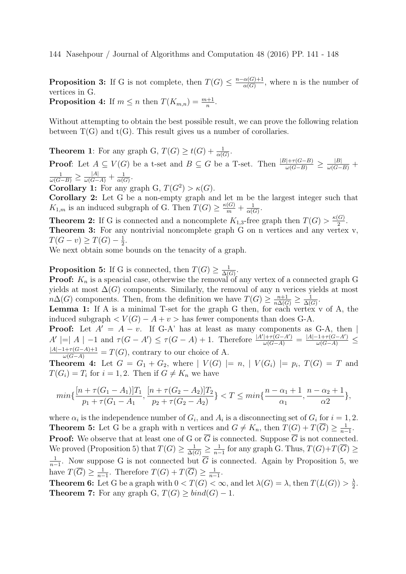144 Nasehpour / Journal of Algorithms and Computation 48 (2016) PP. 141 - 148

**Proposition 3:** If G is not complete, then  $T(G) \leq \frac{n-\alpha(G)+1}{\alpha(G)}$  $\frac{\alpha(G)+1}{\alpha(G)}$ , where n is the number of vertices in G. **Proposition 4:** If  $m \leq n$  then  $T(K_{m,n}) = \frac{m+1}{n}$ .

Without attempting to obtain the best possible result, we can prove the following relation between  $T(G)$  and  $t(G)$ . This result gives us a number of corollaries.

**Theorem 1:** For any graph G,  $T(G) \ge t(G) + \frac{1}{\alpha(G)}$ . **Proof**: Let  $A \subseteq V(G)$  be a t-set and  $B \subseteq G$  be a T-set. Then  $\frac{|B| + \tau(G-B)}{\omega(G-B)} \ge \frac{|B|}{\omega(G-B)} +$  $\frac{1}{\omega(G-B)} \geq \frac{|A|}{\omega(G-A)} + \frac{1}{\alpha(G)}$  $\frac{1}{\alpha(G)}$ .

**Corollary 1:** For any graph G,  $T(G^2) > \kappa(G)$ .

Corollary 2: Let G be a non-empty graph and let m be the largest integer such that  $K_{1,m}$  is an induced subgraph of G. Then  $T(G) \geq \frac{\kappa(G)}{m} + \frac{1}{\alpha(G)}$  $\frac{1}{\alpha(G)}$ .

**Theorem 2:** If G is connected and a noncomplete  $K_{1,3}$ -free graph then  $T(G) > \frac{\kappa(G)}{2}$  $\frac{(G)}{2}$ . Theorem 3: For any nontrivial noncomplete graph G on n vertices and any vertex v,  $T(G - v) \geq T(G) - \frac{1}{2}$  $\frac{1}{2}$ .

We next obtain some bounds on the tenacity of a graph.

**Proposition 5:** If G is connected, then  $T(G) \geq \frac{1}{\Delta(G)}$  $\frac{1}{\Delta(G)}$ .

**Proof:**  $K_n$  is a speacial case, otherwise the removal of any vertex of a connected graph G yields at most  $\Delta(G)$  components. Similarly, the removal of any n verices yields at most  $n\Delta(G)$  components. Then, from the definition we have  $T(G) \geq \frac{n+1}{n\Delta(G)} \geq \frac{1}{\Delta(G)}$  $\frac{1}{\Delta(G)}$ .

**Lemma 1:** If A is a minimal T-set for the graph G then, for each vertex  $\bf{v}$  of A, the induced subgraph  $\langle V(G) - A + v \rangle$  has fewer components than does G-A.

**Proof:** Let  $A' = A - v$ . If G-A' has at least as many components as G-A, then |  $A' = |A| - 1$  and  $\tau(G - A') \leq \tau(G - A) + 1$ . Therefore  $\frac{|A'| + \tau(G - A')}{\omega(G - A)} = \frac{|A| - 1 + \tau(G - A')}{\omega(G - A)} \leq$  $\frac{|A| - 1 + \tau(G-A)+1}{\omega(G-A)} = T(G)$ , contrary to our choice of A.

**Theorem 4:** Let  $G = G_1 + G_2$ , where  $|V(G)| = n$ ,  $|V(G_i)| = p_i$ ,  $T(G) = T$  and  $T(G_i) = T_i$  for  $i = 1, 2$ . Then if  $G \neq K_n$  we have

$$
\min\{\frac{[n+\tau(G_1-A_1)]T_1}{p_1+\tau(G_1-A_1},\frac{[n+\tau(G_2-A_2)]T_2}{p_2+\tau(G_2-A_2)}\}
$$

where  $\alpha_i$  is the independence number of  $G_i$ , and  $A_i$  is a disconnecting set of  $G_i$  for  $i = 1, 2$ . **Theorem 5:** Let G be a graph with n vertices and  $G \neq K_n$ , then  $T(G) + T(\overline{G}) \geq \frac{1}{n-1}$  $\frac{1}{n-1}$ . **Proof:** We observe that at least one of G or G is connected. Suppose  $G$  is not connected. We proved (Proposition 5) that  $T(G) \geq \frac{1}{\Delta(G)} \geq \frac{1}{n-1}$  $\frac{1}{n-1}$  for any graph G. Thus,  $T(G)+T(G) \ge$ 1  $\frac{1}{n-1}$ . Now suppose G is not connected but G is connected. Again by Proposition 5, we have  $T(\overline{G}) \geq \frac{1}{n}$  $\frac{1}{n-1}$ . Therefore  $T(G) + T(\overline{G}) \geq \frac{1}{n-1}$  $\frac{1}{n-1}$ .

**Theorem 6:** Let G be a graph with  $0 < T(G) < \infty$ , and let  $\lambda(G) = \lambda$ , then  $T(L(G)) > \frac{\lambda}{2}$  $\frac{\lambda}{2}$ . **Theorem 7:** For any graph G,  $T(G) \geq bind(G) - 1$ .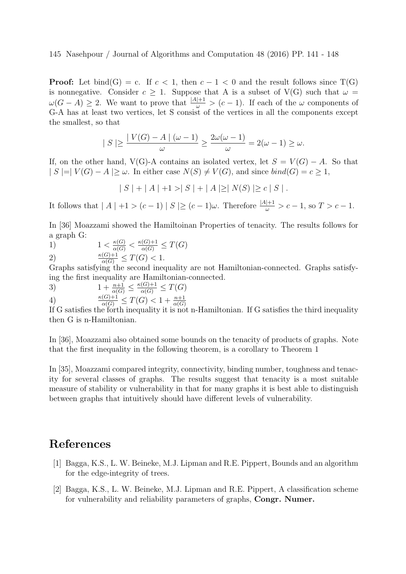**Proof:** Let  $\text{bind}(G) = c$ . If  $c < 1$ , then  $c - 1 < 0$  and the result follows since T(G) is nonnegative. Consider  $c \geq 1$ . Suppose that A is a subset of V(G) such that  $\omega =$  $\omega(G-A) \geq 2$ . We want to prove that  $\frac{|A|+1}{\omega} > (c-1)$ . If each of the  $\omega$  components of G-A has at least two vertices, let S consist of the vertices in all the components except the smallest, so that

$$
|S| \ge \frac{|V(G) - A|(\omega - 1)}{\omega} \ge \frac{2\omega(\omega - 1)}{\omega} = 2(\omega - 1) \ge \omega.
$$

If, on the other hand, V(G)-A contains an isolated vertex, let  $S = V(G) - A$ . So that  $|S| = |V(G) - A| \ge \omega$ . In either case  $N(S) \neq V(G)$ , and since  $bind(G) = c \ge 1$ ,

 $|S| + |A| + 1 > |S| + |A| > |N(S)| > c |S|.$ 

It follows that  $|A|+1 > (c-1) |S| \ge (c-1)\omega$ . Therefore  $\frac{|A|+1}{\omega} > c-1$ , so  $T > c-1$ .

In [36] Moazzami showed the Hamiltoinan Properties of tenacity. The results follows for a graph G:

1)  $1 < \frac{\kappa(G)}{\alpha(G)} < \frac{\kappa(G)+1}{\alpha(G)} \leq T(G)$ 

$$
2) \qquad \frac{\kappa(G)+1}{\alpha(G)} \le T(G) < 1.
$$

Graphs satisfying the second inequality are not Hamiltonian-connected. Graphs satisfying the first inequality are Hamiltonian-connected.

3) 
$$
1 + \frac{n+1}{\alpha(G)} \le \frac{\kappa(G)+1}{\alpha(G)} \le T(G)
$$

4) 
$$
\frac{\kappa(G)+1}{\alpha(G)} \leq T(G) < 1 + \frac{n+1}{\alpha(G)}
$$

If G satisfies the forth inequality it is not n-Hamiltonian. If G satisfies the third inequality then G is n-Hamiltonian.

In [36], Moazzami also obtained some bounds on the tenacity of products of graphs. Note that the first inequality in the following theorem, is a corollary to Theorem 1

In [35], Moazzami compared integrity, connectivity, binding number, toughness and tenacity for several classes of graphs. The results suggest that tenacity is a most suitable measure of stability or vulnerability in that for many graphs it is best able to distinguish between graphs that intuitively should have different levels of vulnerability.

## References

- [1] Bagga, K.S., L. W. Beineke, M.J. Lipman and R.E. Pippert, Bounds and an algorithm for the edge-integrity of trees.
- [2] Bagga, K.S., L. W. Beineke, M.J. Lipman and R.E. Pippert, A classification scheme for vulnerability and reliability parameters of graphs, Congr. Numer.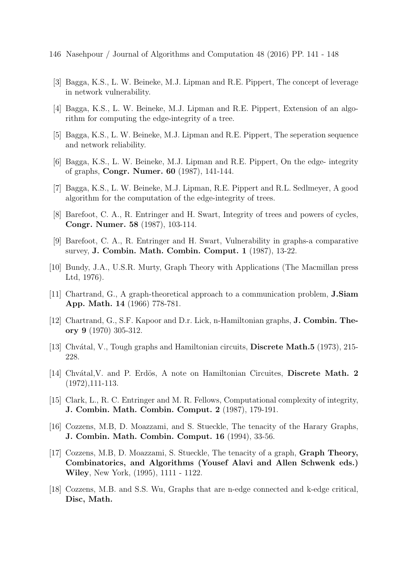- 146 Nasehpour / Journal of Algorithms and Computation 48 (2016) PP. 141 148
	- [3] Bagga, K.S., L. W. Beineke, M.J. Lipman and R.E. Pippert, The concept of leverage in network vulnerability.
	- [4] Bagga, K.S., L. W. Beineke, M.J. Lipman and R.E. Pippert, Extension of an algorithm for computing the edge-integrity of a tree.
	- [5] Bagga, K.S., L. W. Beineke, M.J. Lipman and R.E. Pippert, The seperation sequence and network reliability.
	- [6] Bagga, K.S., L. W. Beineke, M.J. Lipman and R.E. Pippert, On the edge- integrity of graphs, Congr. Numer. 60 (1987), 141-144.
	- [7] Bagga, K.S., L. W. Beineke, M.J. Lipman, R.E. Pippert and R.L. Sedlmeyer, A good algorithm for the computation of the edge-integrity of trees.
	- [8] Barefoot, C. A., R. Entringer and H. Swart, Integrity of trees and powers of cycles, Congr. Numer. 58 (1987), 103-114.
- [9] Barefoot, C. A., R. Entringer and H. Swart, Vulnerability in graphs-a comparative survey, J. Combin. Math. Combin. Comput. 1 (1987), 13-22.
- [10] Bundy, J.A., U.S.R. Murty, Graph Theory with Applications (The Macmillan press Ltd, 1976).
- [11] Chartrand, G., A graph-theoretical approach to a communication problem, J.Siam App. Math. 14 (1966) 778-781.
- [12] Chartrand, G., S.F. Kapoor and D.r. Lick, n-Hamiltonian graphs, J. Combin. Theory 9 (1970) 305-312.
- [13] Chvátal, V., Tough graphs and Hamiltonian circuits, **Discrete Math.5** (1973), 215-228.
- [14] Chvátal, V. and P. Erdös, A note on Hamiltonian Circuites, Discrete Math. 2 (1972),111-113.
- [15] Clark, L., R. C. Entringer and M. R. Fellows, Computational complexity of integrity, J. Combin. Math. Combin. Comput. 2 (1987), 179-191.
- [16] Cozzens, M.B, D. Moazzami, and S. Stueckle, The tenacity of the Harary Graphs, J. Combin. Math. Combin. Comput. 16 (1994), 33-56.
- [17] Cozzens, M.B, D. Moazzami, S. Stueckle, The tenacity of a graph, Graph Theory, Combinatorics, and Algorithms (Yousef Alavi and Allen Schwenk eds.) Wiley, New York, (1995), 1111 - 1122.
- [18] Cozzens, M.B. and S.S. Wu, Graphs that are n-edge connected and k-edge critical, Disc, Math.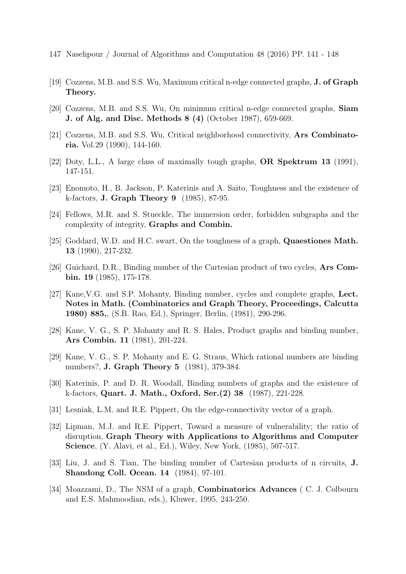- 147 Nasehpour / Journal of Algorithms and Computation 48 (2016) PP. 141 148
- [19] Cozzens, M.B. and S.S. Wu, Maximum critical n-edge connected graphs, J. of Graph Theory.
- [20] Cozzens, M.B. and S.S. Wu, On minimum critical n-edge connected graphs, Siam J. of Alg. and Disc. Methods 8 (4) (October 1987), 659-669.
- [21] Cozzens, M.B. and S.S. Wu, Critical neighborhood connectivity, Ars Combinatoria. Vol.29 (1990), 144-160.
- [22] Doty, L.L., A large class of maximally tough graphs, OR Spektrum 13 (1991), 147-151.
- [23] Enomoto, H., B. Jackson, P. Katerinis and A. Saito, Toughness and the existence of k-factors, J. Graph Theory 9 (1985), 87-95.
- [24] Fellows, M.R. and S. Stueckle, The immersion order, forbidden subgraphs and the complexity of integrity, Graphs and Combin.
- [25] Goddard, W.D. and H.C. swart, On the toughness of a graph, **Quaestiones Math.** 13 (1990), 217-232.
- [26] Guichard, D.R., Binding number of the Cartesian product of two cycles, Ars Combin. 19 (1985), 175-178.
- [27] Kane,V.G. and S.P. Mohanty, Binding number, cycles and complete graphs, Lect. Notes in Math. (Combinatorics and Graph Theory, Proceedings, Calcutta 1980) 885,, (S.B. Rao, Ed.), Springer, Berlin, (1981), 290-296.
- [28] Kane, V. G., S. P. Mohanty and R. S. Hales, Product graphs and binding number, Ars Combin. 11 (1981), 201-224.
- [29] Kane, V. G., S. P. Mohanty and E. G. Straus, Which rational numbers are binding numbers?, J. Graph Theory 5 (1981), 379-384.
- [30] Katerinis, P. and D. R. Woodall, Binding numbers of graphs and the existence of k-factors, Quart. J. Math., Oxford, Ser.(2) 38 (1987), 221-228.
- [31] Lesniak, L.M. and R.E. Pippert, On the edge-connectivity vector of a graph.
- [32] Lipman, M.J. and R.E. Pippert, Toward a measure of vulnerability; the ratio of disruption, Graph Theory with Applications to Algorithms and Computer Science, (Y. Alavi, et al., Ed.), Wiley, New York, (1985), 507-517.
- [33] Liu, J. and S. Tian, The binding number of Cartesian products of n circuits, J. Shandong Coll. Ocean. 14 (1984), 97-101.
- [34] Moazzami, D., The NSM of a graph, Combinatorics Advances ( C. J. Colbourn and E.S. Mahmoodian, eds.), Kluwer, 1995, 243-250.